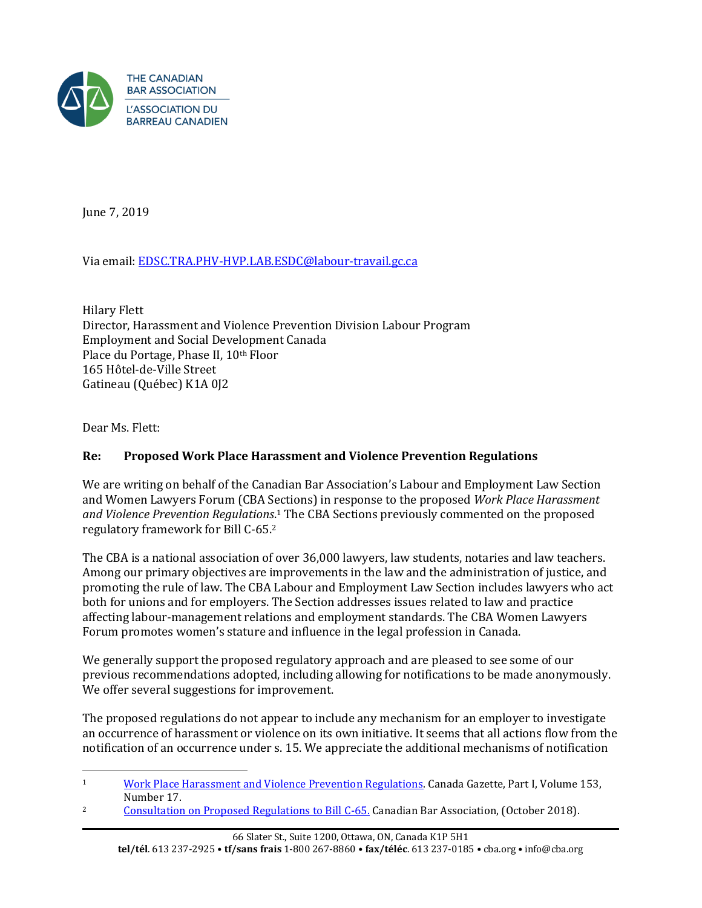

June 7, 2019

Via email: [EDSC.TRA.PHV-HVP.LAB.ESDC@labour-travail.gc.ca](mailto:EDSC.TRA.PHV-HVP.LAB.ESDC@labour-travail.gc.ca)

Hilary Flett Director, Harassment and Violence Prevention Division Labour Program Employment and Social Development Canada Place du Portage, Phase II, 10<sup>th</sup> Floor 165 Hôtel-de-Ville Street Gatineau (Québec) K1A 0J2

Dear Ms. Flett:

## **Re: Proposed Work Place Harassment and Violence Prevention Regulations**

We are writing on behalf of the Canadian Bar Association's Labour and Employment Law Section and Women Lawyers Forum (CBA Sections) in response to the proposed *Work Place Harassment and Violence Prevention Regulations*. <sup>1</sup> The CBA Sections previously commented on the proposed regulatory framework for Bill C-65.<sup>2</sup>

The CBA is a national association of over 36,000 lawyers, law students, notaries and law teachers. Among our primary objectives are improvements in the law and the administration of justice, and promoting the rule of law. The CBA Labour and Employment Law Section includes lawyers who act both for unions and for employers. The Section addresses issues related to law and practice affecting labour-management relations and employment standards. The CBA Women Lawyers Forum promotes women's stature and influence in the legal profession in Canada.

We generally support the proposed regulatory approach and are pleased to see some of our previous recommendations adopted, including allowing for notifications to be made anonymously. We offer several suggestions for improvement.

The proposed regulations do not appear to include any mechanism for an employer to investigate an occurrence of harassment or violence on its own initiative. It seems that all actions flow from the notification of an occurrence under s. 15. We appreciate the additional mechanisms of notification

<sup>2</sup> [Consultation on Proposed Regulations to Bill C-65.](https://www.cba.org/CMSPages/GetFile.aspx?guid=3929461b-ef24-4dd3-9512-becc8265bcbb) Canadian Bar Association, (October 2018).

 $\overline{a}$ <sup>1</sup> [Work Place Harassment and Violence Prevention Regulations.](http://www.gazette.gc.ca/rp-pr/p1/2019/2019-04-27/html/reg1-eng.html) Canada Gazette, Part I, Volume 153, Number 17.